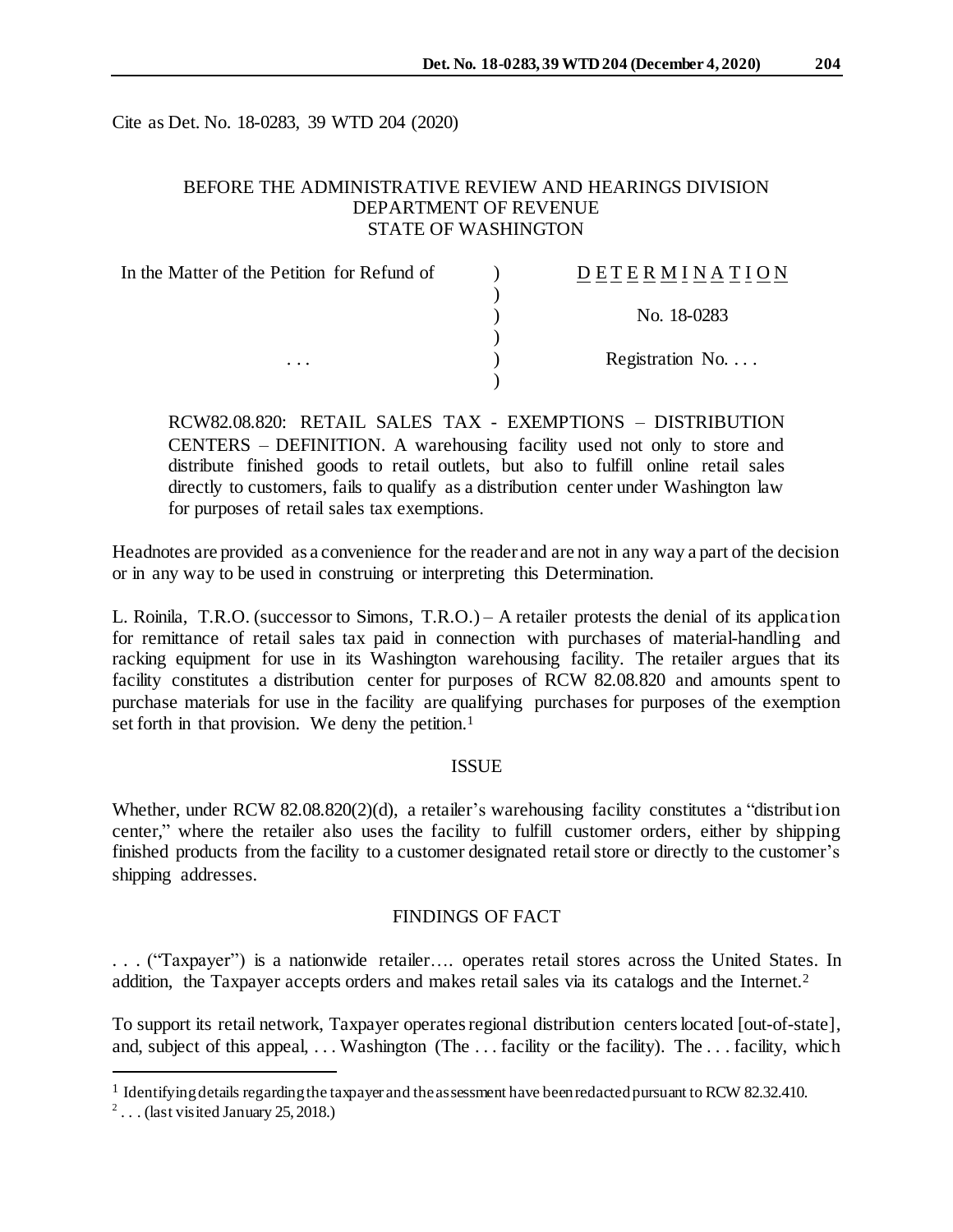Cite as Det. No. 18-0283, 39 WTD 204 (2020)

# BEFORE THE ADMINISTRATIVE REVIEW AND HEARINGS DIVISION DEPARTMENT OF REVENUE STATE OF WASHINGTON

| In the Matter of the Petition for Refund of | DETERMINATION            |
|---------------------------------------------|--------------------------|
|                                             |                          |
|                                             | No. 18-0283              |
|                                             |                          |
| $\cdots$                                    | Registration No. $\dots$ |
|                                             |                          |

RCW82.08.820: RETAIL SALES TAX - EXEMPTIONS – DISTRIBUTION CENTERS – DEFINITION. A warehousing facility used not only to store and distribute finished goods to retail outlets, but also to fulfill online retail sales directly to customers, fails to qualify as a distribution center under Washington law for purposes of retail sales tax exemptions.

Headnotes are provided as a convenience for the reader and are not in any way a part of the decision or in any way to be used in construing or interpreting this Determination.

L. Roinila, T.R.O. (successor to Simons, T.R.O.) – A retailer protests the denial of its application for remittance of retail sales tax paid in connection with purchases of material-handling and racking equipment for use in its Washington warehousing facility. The retailer argues that its facility constitutes a distribution center for purposes of RCW 82.08.820 and amounts spent to purchase materials for use in the facility are qualifying purchases for purposes of the exemption set forth in that provision. We deny the petition.<sup>1</sup>

### **ISSUE**

Whether, under RCW 82.08.820(2)(d), a retailer's warehousing facility constitutes a "distribution center," where the retailer also uses the facility to fulfill customer orders, either by shipping finished products from the facility to a customer designated retail store or directly to the customer's shipping addresses.

## FINDINGS OF FACT

. . . ("Taxpayer") is a nationwide retailer…. operates retail stores across the United States. In addition, the Taxpayer accepts orders and makes retail sales via its catalogs and the Internet.<sup>2</sup>

To support its retail network, Taxpayer operates regional distribution centers located [out-of-state], and, subject of this appeal, ... Washington (The ... facility or the facility). The ... facility, which

l

<sup>&</sup>lt;sup>1</sup> Identifying details regarding the taxpayer and the assessment have been redacted pursuant to RCW 82.32.410.

<sup>&</sup>lt;sup>2</sup>... (last visited January 25, 2018.)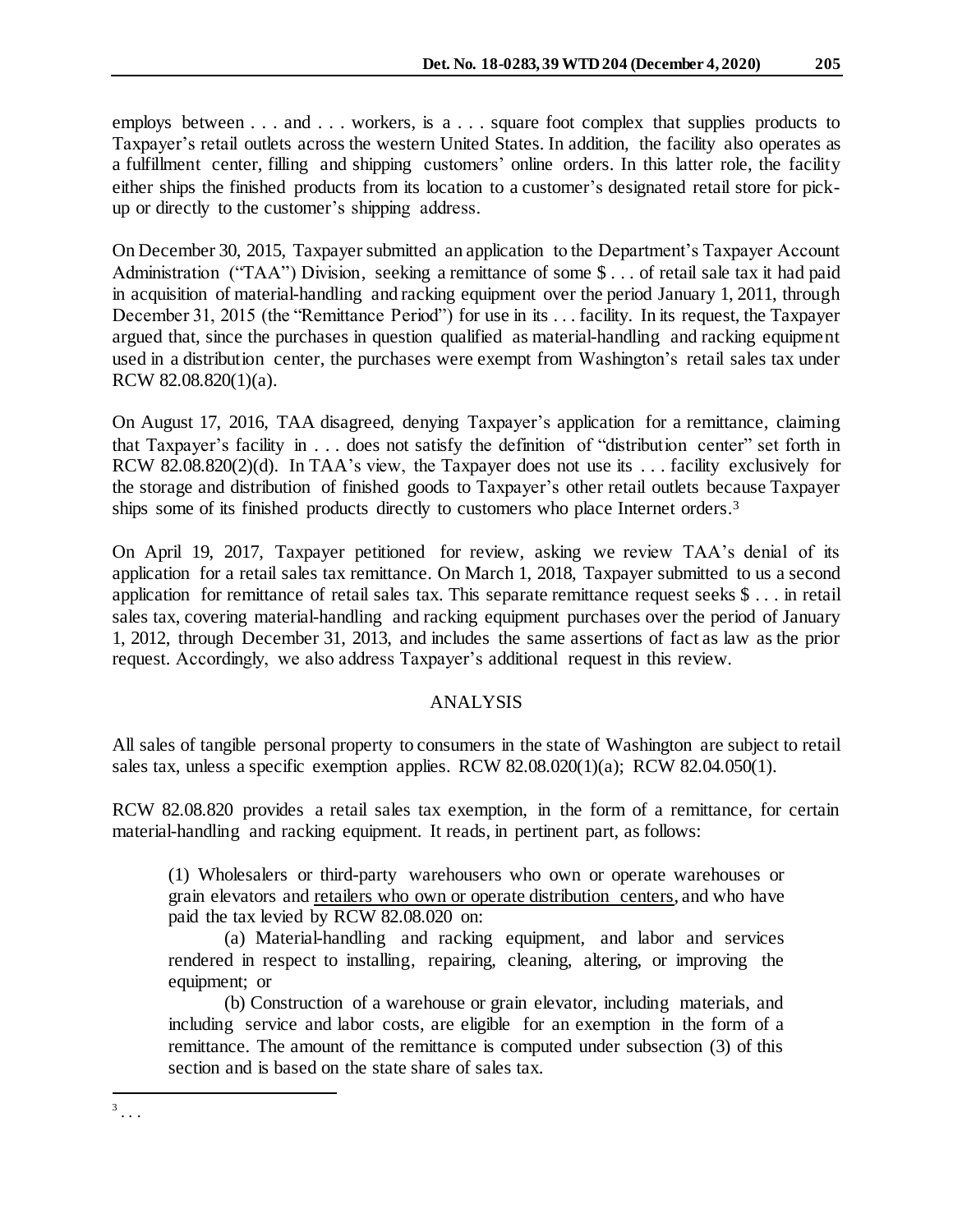employs between . . . and . . . workers, is a . . . square foot complex that supplies products to Taxpayer's retail outlets across the western United States. In addition, the facility also operates as a fulfillment center, filling and shipping customers' online orders. In this latter role, the facility either ships the finished products from its location to a customer's designated retail store for pickup or directly to the customer's shipping address.

On December 30, 2015, Taxpayer submitted an application to the Department's Taxpayer Account Administration ("TAA") Division, seeking a remittance of some \$... of retail sale tax it had paid in acquisition of material-handling and racking equipment over the period January 1, 2011, through December 31, 2015 (the "Remittance Period") for use in its . . . facility. In its request, the Taxpayer argued that, since the purchases in question qualified as material-handling and racking equipment used in a distribution center, the purchases were exempt from Washington's retail sales tax under RCW 82.08.820(1)(a).

On August 17, 2016, TAA disagreed, denying Taxpayer's application for a remittance, claiming that Taxpayer's facility in . . . does not satisfy the definition of "distribution center" set forth in RCW 82.08.820(2)(d). In TAA's view, the Taxpayer does not use its . . . facility exclusively for the storage and distribution of finished goods to Taxpayer's other retail outlets because Taxpayer ships some of its finished products directly to customers who place Internet orders. 3

On April 19, 2017, Taxpayer petitioned for review, asking we review TAA's denial of its application for a retail sales tax remittance. On March 1, 2018, Taxpayer submitted to us a second application for remittance of retail sales tax. This separate remittance request seeks \$ . . . in retail sales tax, covering material-handling and racking equipment purchases over the period of January 1, 2012, through December 31, 2013, and includes the same assertions of fact as law as the prior request. Accordingly, we also address Taxpayer's additional request in this review.

## ANALYSIS

All sales of tangible personal property to consumers in the state of Washington are subject to retail sales tax, unless a specific exemption applies. RCW 82.08.020(1)(a); RCW 82.04.050(1).

RCW 82.08.820 provides a retail sales tax exemption, in the form of a remittance, for certain material-handling and racking equipment. It reads, in pertinent part, as follows:

(1) Wholesalers or third-party warehousers who own or operate warehouses or grain elevators and retailers who own or operate distribution centers, and who have paid the tax levied by RCW 82.08.020 on:

(a) Material-handling and racking equipment, and labor and services rendered in respect to installing, repairing, cleaning, altering, or improving the equipment; or

(b) Construction of a warehouse or grain elevator, including materials, and including service and labor costs, are eligible for an exemption in the form of a remittance. The amount of the remittance is computed under subsection (3) of this section and is based on the state share of sales tax.

 $\frac{3}{3}$ ...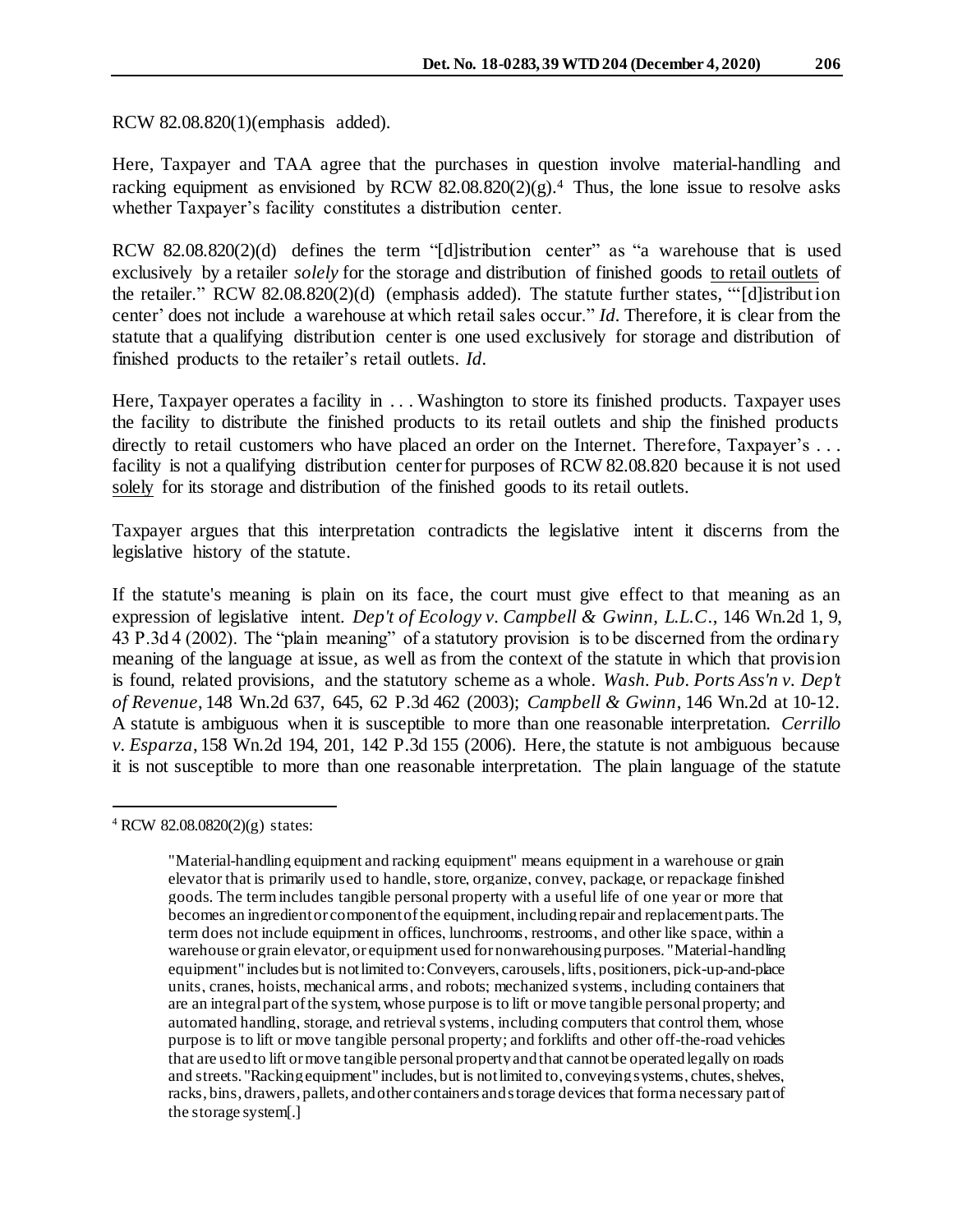RCW 82.08.820(1)(emphasis added).

Here, Taxpayer and TAA agree that the purchases in question involve material-handling and racking equipment as envisioned by RCW  $82.08.820(2)(g)$ .<sup>4</sup> Thus, the lone issue to resolve asks whether Taxpayer's facility constitutes a distribution center.

RCW 82.08.820(2)(d) defines the term "[d]istribution center" as "a warehouse that is used exclusively by a retailer *solely* for the storage and distribution of finished goods to retail outlets of the retailer." RCW 82.08.820(2)(d) (emphasis added). The statute further states, "'[d]istribution center' does not include a warehouse at which retail sales occur." *Id.* Therefore, it is clear from the statute that a qualifying distribution center is one used exclusively for storage and distribution of finished products to the retailer's retail outlets. *Id.*

Here, Taxpayer operates a facility in . . . Washington to store its finished products. Taxpayer uses the facility to distribute the finished products to its retail outlets and ship the finished products directly to retail customers who have placed an order on the Internet. Therefore, Taxpayer's ... facility is not a qualifying distribution center for purposes of RCW 82.08.820 because it is not used solely for its storage and distribution of the finished goods to its retail outlets.

Taxpayer argues that this interpretation contradicts the legislative intent it discerns from the legislative history of the statute.

If the statute's meaning is plain on its face, the court must give effect to that meaning as an expression of legislative intent. *Dep't of Ecology v. Campbell & Gwinn, L.L.C*., 146 Wn.2d 1, 9, 43 P.3d 4 (2002). The "plain meaning" of a statutory provision is to be discerned from the ordinary meaning of the language at issue, as well as from the context of the statute in which that provision is found, related provisions, and the statutory scheme as a whole. *Wash. Pub. Ports Ass'n v. Dep't of Revenue*, 148 Wn.2d 637, 645, 62 P.3d 462 (2003); *Campbell & Gwinn*, 146 Wn.2d at 10-12. A statute is ambiguous when it is susceptible to more than one reasonable interpretation. *Cerrillo v. Esparza*, 158 Wn.2d 194, 201, 142 P.3d 155 (2006). Here, the statute is not ambiguous because it is not susceptible to more than one reasonable interpretation. The plain language of the statute

l

<sup>4</sup> RCW 82.08.0820(2)(g) states:

<sup>&</sup>quot;Material-handling equipment and racking equipment" means equipment in a warehouse or grain elevator that is primarily used to handle, store, organize, convey, package, or repackage finished goods. The term includes tangible personal property with a useful life of one year or more that becomes an ingredient or component of the equipment, including repair and replacement parts. The term does not include equipment in offices, lunchrooms, restrooms, and other like space, within a warehouse or grain elevator, or equipment used for nonwarehousing purposes. "Material-handling equipment" includes but is not limited to: Conveyers, carousels, lifts, positioners, pick-up-and-place units, cranes, hoists, mechanical arms, and robots; mechanized systems, including containers that are an integral part of the system, whose purpose is to lift or move tangible personal property; and automated handling, storage, and retrieval systems, including computers that control them, whose purpose is to lift or move tangible personal property; and forklifts and other off-the-road vehicles that are used to lift or move tangible personal property and that cannot be operated legally on roads and streets. "Racking equipment" includes, but is not limited to, conveying systems, chutes, shelves, racks, bins, drawers, pallets, and other containers and storage devices that form a necessary part of the storage system[.]